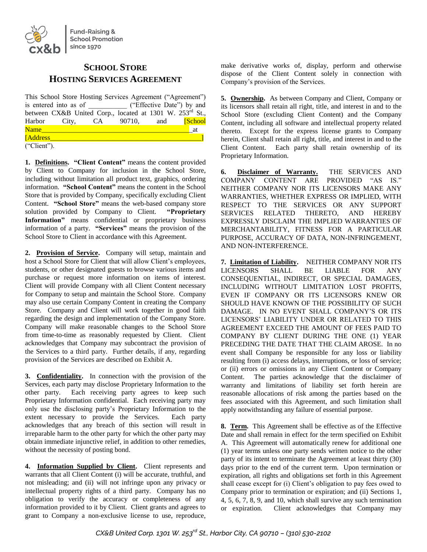

## **SCHOOL STORE HOSTING SERVICES AGREEMENT**

This School Store Hosting Services Agreement ("Agreement") is entered into as of \_\_\_\_\_\_\_\_\_\_\_ ("Effective Date") by and between CX&B United Corp., located at 1301 W. 253<sup>rd</sup> St., Harbor City, CA 90710, and [School Name\_\_\_\_\_\_\_\_\_\_\_\_\_\_\_\_\_\_\_\_\_\_\_\_\_\_\_\_\_\_\_\_\_\_\_\_\_\_\_\_\_\_\_at [Address\_\_\_\_\_\_\_\_\_\_\_\_\_\_\_\_\_\_\_\_\_\_\_\_\_\_\_\_\_\_\_\_\_\_\_\_\_\_\_\_\_\_\_] ("Client").

**1. Definitions. "Client Content"** means the content provided by Client to Company for inclusion in the School Store, including without limitation all product text, graphics, ordering information. **"School Content"** means the content in the School Store that is provided by Company, specifically excluding Client Content. **"School Store"** means the web-based company store solution provided by Company to Client. **"Proprietary Information"** means confidential or proprietary business information of a party. **"Services"** means the provision of the School Store to Client in accordance with this Agreement.

**2. Provision of Service.** Company will setup, maintain and host a School Store for Client that will allow Client's employees, students, or other designated guests to browse various items and purchase or request more information on items of interest. Client will provide Company with all Client Content necessary for Company to setup and maintain the School Store. Company may also use certain Company Content in creating the Company Store. Company and Client will work together in good faith regarding the design and implementation of the Company Store. Company will make reasonable changes to the School Store from time-to-time as reasonably requested by Client. Client acknowledges that Company may subcontract the provision of the Services to a third party. Further details, if any, regarding provision of the Services are described on Exhibit A.

**3. Confidentiality.** In connection with the provision of the Services, each party may disclose Proprietary Information to the other party. Each receiving party agrees to keep such Proprietary Information confidential. Each receiving party may only use the disclosing party's Proprietary Information to the extent necessary to provide the Services. Each party acknowledges that any breach of this section will result in irreparable harm to the other party for which the other party may obtain immediate injunctive relief, in addition to other remedies, without the necessity of posting bond.

**4. Information Supplied by Client.** Client represents and warrants that all Client Content (i) will be accurate, truthful, and not misleading; and (ii) will not infringe upon any privacy or intellectual property rights of a third party. Company has no obligation to verify the accuracy or completeness of any information provided to it by Client. Client grants and agrees to grant to Company a non-exclusive license to use, reproduce,

make derivative works of, display, perform and otherwise dispose of the Client Content solely in connection with Company's provision of the Services.

**5. Ownership.** As between Company and Client, Company or its licensors shall retain all right, title, and interest in and to the School Store (excluding Client Content) and the Company Content, including all software and intellectual property related thereto. Except for the express license grants to Company herein, Client shall retain all right, title, and interest in and to the Client Content. Each party shall retain ownership of its Proprietary Information.

**6. Disclaimer of Warranty.** THE SERVICES AND COMPANY CONTENT ARE PROVIDED "AS IS." NEITHER COMPANY NOR ITS LICENSORS MAKE ANY WARRANTIES, WHETHER EXPRESS OR IMPLIED, WITH RESPECT TO THE SERVICES OR ANY SUPPORT SERVICES RELATED THERETO, AND HEREBY EXPRESSLY DISCLAIM THE IMPLIED WARRANTIES OF MERCHANTABILITY, FITNESS FOR A PARTICULAR PURPOSE, ACCURACY OF DATA, NON-INFRINGEMENT, AND NON-INTERFERENCE.

**7. Limitation of Liability.** NEITHER COMPANY NOR ITS LICENSORS SHALL BE LIABLE FOR ANY CONSEQUENTIAL, INDIRECT, OR SPECIAL DAMAGES, INCLUDING WITHOUT LIMITATION LOST PROFITS, EVEN IF COMPANY OR ITS LICENSORS KNEW OR SHOULD HAVE KNOWN OF THE POSSIBILITY OF SUCH DAMAGE. IN NO EVENT SHALL COMPANY'S OR ITS LICENSORS' LIABILITY UNDER OR RELATED TO THIS AGREEMENT EXCEED THE AMOUNT OF FEES PAID TO COMPANY BY CLIENT DURING THE ONE (1) YEAR PRECEDING THE DATE THAT THE CLAIM AROSE. In no event shall Company be responsible for any loss or liability resulting from (i) access delays, interruptions, or loss of service; or (ii) errors or omissions in any Client Content or Company Content. The parties acknowledge that the disclaimer of warranty and limitations of liability set forth herein are reasonable allocations of risk among the parties based on the fees associated with this Agreement, and such limitation shall apply notwithstanding any failure of essential purpose.

**8. Term.** This Agreement shall be effective as of the Effective Date and shall remain in effect for the term specified on Exhibit A. This Agreement will automatically renew for additional one (1) year terms unless one party sends written notice to the other party of its intent to terminate the Agreement at least thirty (30) days prior to the end of the current term. Upon termination or expiration, all rights and obligations set forth in this Agreement shall cease except for (i) Client's obligation to pay fees owed to Company prior to termination or expiration; and (ii) Sections 1, 4, 5, 6, 7, 8, 9, and 10, which shall survive any such termination or expiration. Client acknowledges that Company may

*CX&B United Corp. 1301 W. 253rd St., Harbor City, CA 90710 – (310) 530-2102*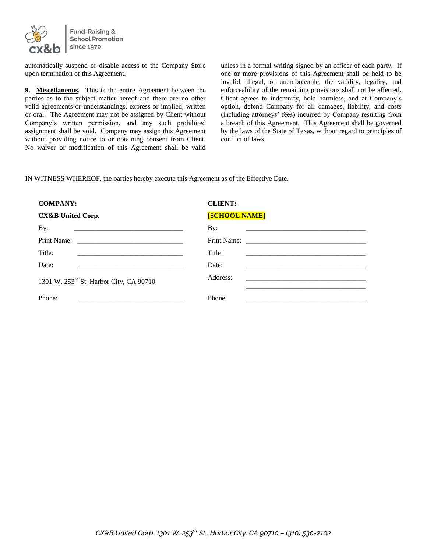

**Fund-Raising & School Promotion** since 1970

automatically suspend or disable access to the Company Store upon termination of this Agreement.

**9. Miscellaneous.** This is the entire Agreement between the parties as to the subject matter hereof and there are no other valid agreements or understandings, express or implied, written or oral. The Agreement may not be assigned by Client without Company's written permission, and any such prohibited assignment shall be void. Company may assign this Agreement without providing notice to or obtaining consent from Client. No waiver or modification of this Agreement shall be valid unless in a formal writing signed by an officer of each party. If one or more provisions of this Agreement shall be held to be invalid, illegal, or unenforceable, the validity, legality, and enforceability of the remaining provisions shall not be affected. Client agrees to indemnify, hold harmless, and at Company's option, defend Company for all damages, liability, and costs (including attorneys' fees) incurred by Company resulting from a breach of this Agreement. This Agreement shall be governed by the laws of the State of Texas, without regard to principles of conflict of laws.

IN WITNESS WHEREOF, the parties hereby execute this Agreement as of the Effective Date.

| <b>COMPANY:</b>                                     | <b>CLIENT:</b>                                                  |
|-----------------------------------------------------|-----------------------------------------------------------------|
| <b>CX&amp;B</b> United Corp.                        | <b>[SCHOOL NAME]</b>                                            |
| By:                                                 | By:                                                             |
| Print Name:                                         |                                                                 |
| Title:                                              | Title:                                                          |
| Date:                                               | Date:                                                           |
| 1301 W. 253 <sup>rd</sup> St. Harbor City, CA 90710 | Address:<br><u> 1980 - Jan James Barnett, fizik amerikan ba</u> |
| Phone:                                              | Phone:                                                          |